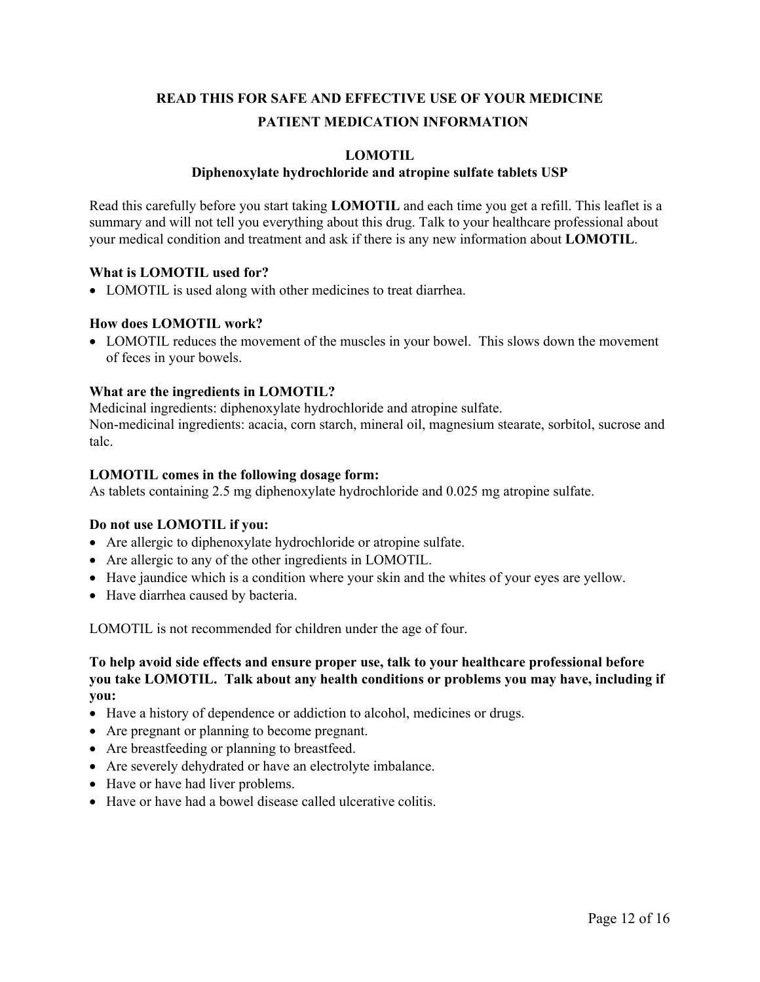# **READ THIS FOR SAFE AND EFFECTIVE USE OF YOUR MEDICINE PATIENT MEDICATION INFORMATION**

## **LOMOTIL**

## **Diphenoxylate hydrochloride and atropine sulfate tablets USP**

Read this carefully before you start taking **LOMOTIL** and each time you get a refill. This leaflet is a summary and will not tell you everything about this drug. Talk to your healthcare professional about your medical condition and treatment and ask if there is any new information about **LOMOTIL**.

#### **What is LOMOTIL used for?**

LOMOTIL is used along with other medicines to treat diarrhea.

#### **How does LOMOTIL work?**

 LOMOTIL reduces the movement of the muscles in your bowel. This slows down the movement of feces in your bowels.

#### **What are the ingredients in LOMOTIL?**

Medicinal ingredients: diphenoxylate hydrochloride and atropine sulfate. Non-medicinal ingredients: acacia, corn starch, mineral oil, magnesium stearate, sorbitol, sucrose and talc.

#### **LOMOTIL comes in the following dosage form:**

As tablets containing 2.5 mg diphenoxylate hydrochloride and 0.025 mg atropine sulfate.

#### **Do not use LOMOTIL if you:**

- Are allergic to diphenoxylate hydrochloride or atropine sulfate.
- Are allergic to any of the other ingredients in LOMOTIL.
- Have jaundice which is a condition where your skin and the whites of your eyes are yellow.
- Have diarrhea caused by bacteria.

LOMOTIL is not recommended for children under the age of four.

#### **To help avoid side effects and ensure proper use, talk to your healthcare professional before you take LOMOTIL. Talk about any health conditions or problems you may have, including if you:**

- Have a history of dependence or addiction to alcohol, medicines or drugs.
- Are pregnant or planning to become pregnant.
- Are breastfeeding or planning to breastfeed.
- Are severely dehydrated or have an electrolyte imbalance.
- Have or have had liver problems.
- Have or have had a bowel disease called ulcerative colitis.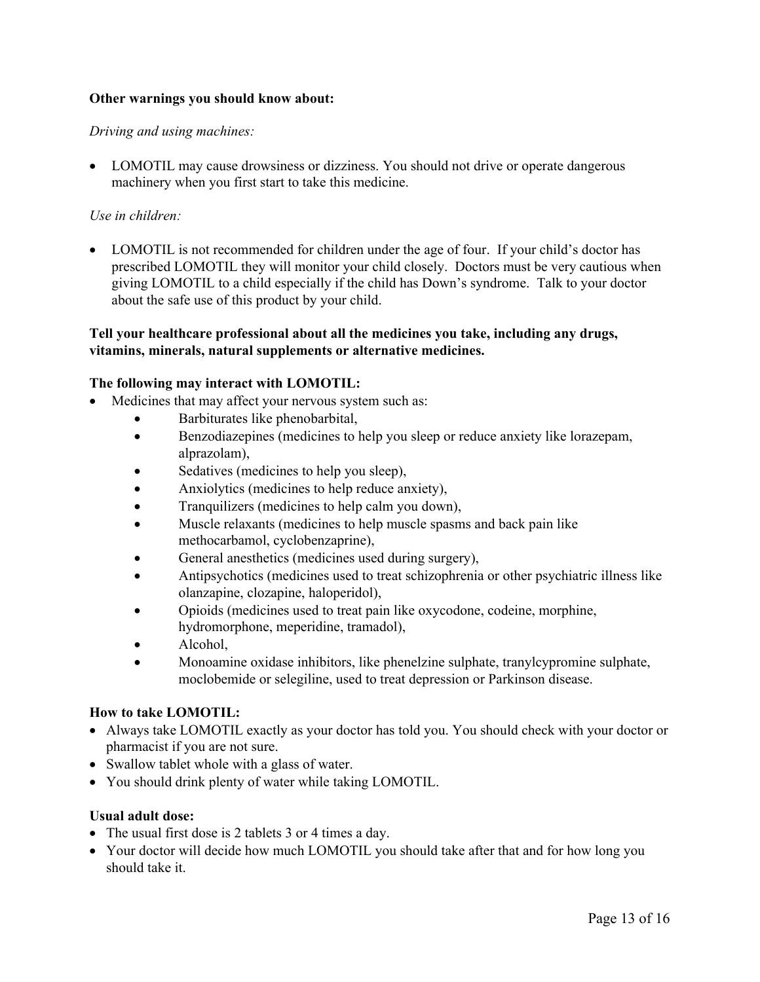## **Other warnings you should know about:**

#### *Driving and using machines:*

• LOMOTIL may cause drowsiness or dizziness. You should not drive or operate dangerous machinery when you first start to take this medicine.

#### *Use in children:*

• LOMOTIL is not recommended for children under the age of four. If your child's doctor has prescribed LOMOTIL they will monitor your child closely. Doctors must be very cautious when giving LOMOTIL to a child especially if the child has Down's syndrome. Talk to your doctor about the safe use of this product by your child.

## **Tell your healthcare professional about all the medicines you take, including any drugs, vitamins, minerals, natural supplements or alternative medicines.**

#### **The following may interact with LOMOTIL:**

- Medicines that may affect your nervous system such as:
	- Barbiturates like phenobarbital,
	- Benzodiazepines (medicines to help you sleep or reduce anxiety like lorazepam, alprazolam),
	- Sedatives (medicines to help you sleep),
	- Anxiolytics (medicines to help reduce anxiety),
	- Tranquilizers (medicines to help calm you down),
	- Muscle relaxants (medicines to help muscle spasms and back pain like methocarbamol, cyclobenzaprine),
	- General anesthetics (medicines used during surgery),
	- Antipsychotics (medicines used to treat schizophrenia or other psychiatric illness like olanzapine, clozapine, haloperidol),
	- Opioids (medicines used to treat pain like oxycodone, codeine, morphine, hydromorphone, meperidine, tramadol),
	- Alcohol,
	- Monoamine oxidase inhibitors, like phenelzine sulphate, tranylcypromine sulphate, moclobemide or selegiline, used to treat depression or Parkinson disease.

#### **How to take LOMOTIL:**

- Always take LOMOTIL exactly as your doctor has told you. You should check with your doctor or pharmacist if you are not sure.
- Swallow tablet whole with a glass of water.
- You should drink plenty of water while taking LOMOTIL.

#### **Usual adult dose:**

- The usual first dose is 2 tablets 3 or 4 times a day.
- Your doctor will decide how much LOMOTIL you should take after that and for how long you should take it.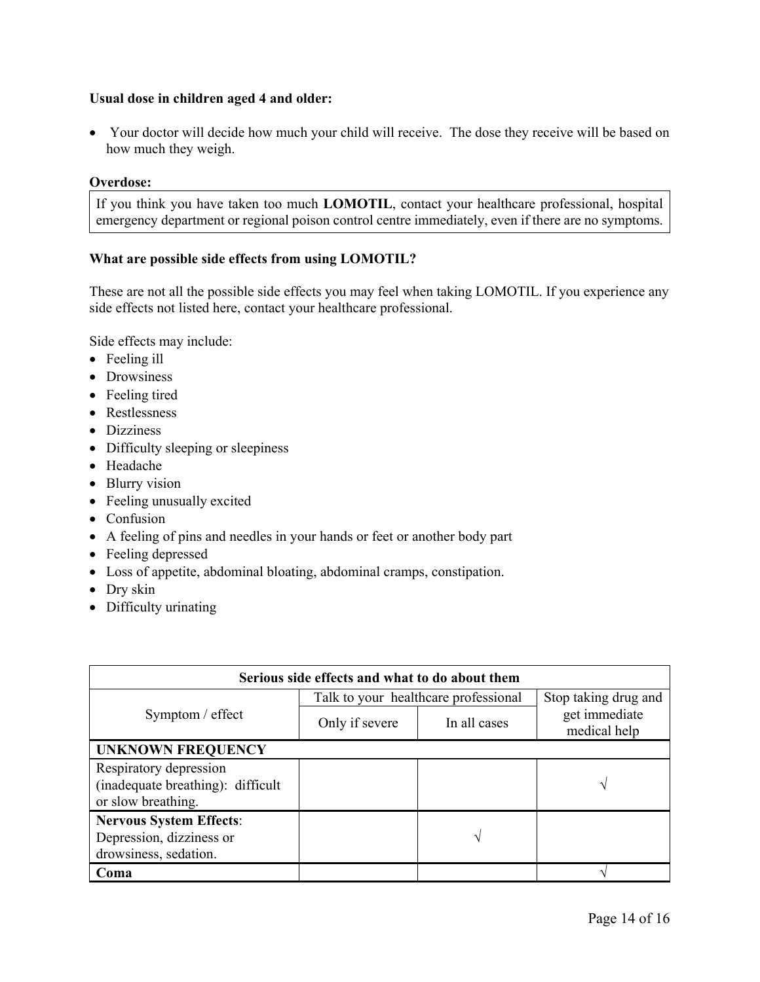## **Usual dose in children aged 4 and older:**

 Your doctor will decide how much your child will receive. The dose they receive will be based on how much they weigh.

#### **Overdose:**

If you think you have taken too much **LOMOTIL**, contact your healthcare professional, hospital emergency department or regional poison control centre immediately, even if there are no symptoms.

## **What are possible side effects from using LOMOTIL?**

These are not all the possible side effects you may feel when taking LOMOTIL. If you experience any side effects not listed here, contact your healthcare professional.

Side effects may include:

- Feeling ill
- Drowsiness
- Feeling tired
- Restlessness
- Dizziness
- Difficulty sleeping or sleepiness
- Headache
- Blurry vision
- Feeling unusually excited
- Confusion
- A feeling of pins and needles in your hands or feet or another body part
- Feeling depressed
- Loss of appetite, abdominal bloating, abdominal cramps, constipation.
- Dry skin
- Difficulty urinating

| Serious side effects and what to do about them                                      |                                      |              |                               |  |  |
|-------------------------------------------------------------------------------------|--------------------------------------|--------------|-------------------------------|--|--|
| Symptom / effect                                                                    | Talk to your healthcare professional |              | Stop taking drug and          |  |  |
|                                                                                     | Only if severe                       | In all cases | get immediate<br>medical help |  |  |
| <b>UNKNOWN FREQUENCY</b>                                                            |                                      |              |                               |  |  |
| Respiratory depression<br>(inadequate breathing): difficult<br>or slow breathing.   |                                      |              | $\mathcal{N}$                 |  |  |
| <b>Nervous System Effects:</b><br>Depression, dizziness or<br>drowsiness, sedation. |                                      | N            |                               |  |  |
| Coma                                                                                |                                      |              |                               |  |  |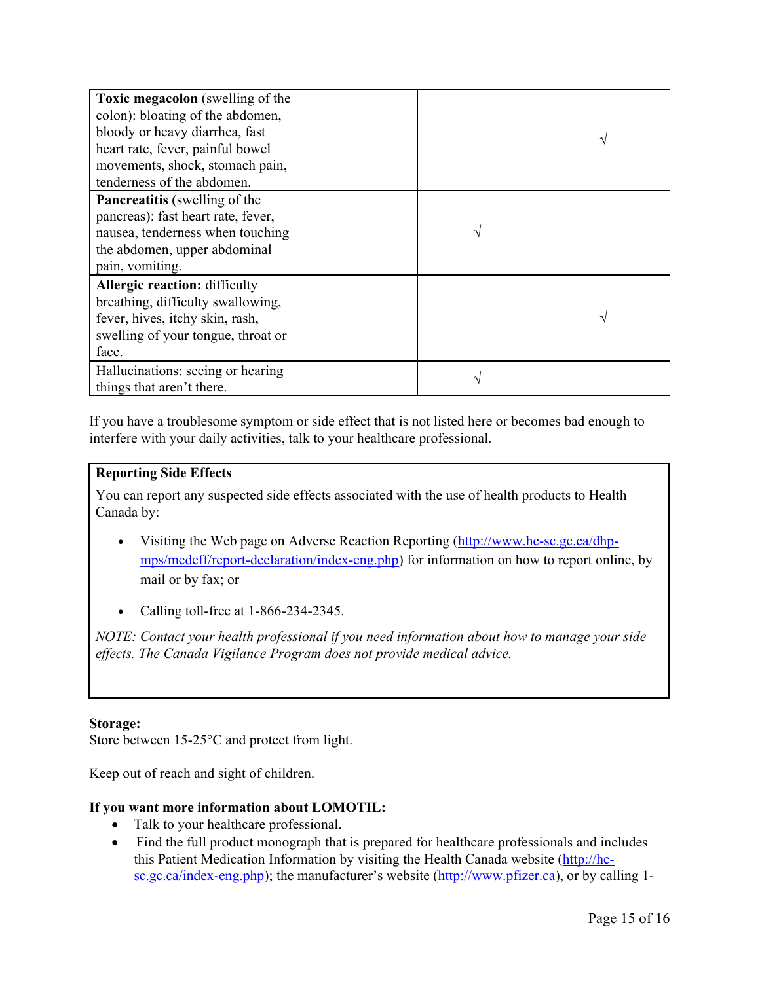| <b>Toxic megacolon</b> (swelling of the<br>colon): bloating of the abdomen,<br>bloody or heavy diarrhea, fast<br>heart rate, fever, painful bowel<br>movements, shock, stomach pain,<br>tenderness of the abdomen. |  |  |
|--------------------------------------------------------------------------------------------------------------------------------------------------------------------------------------------------------------------|--|--|
| <b>Pancreatitis</b> (swelling of the<br>pancreas): fast heart rate, fever,<br>nausea, tenderness when touching<br>the abdomen, upper abdominal<br>pain, vomiting.                                                  |  |  |
| <b>Allergic reaction: difficulty</b><br>breathing, difficulty swallowing,<br>fever, hives, itchy skin, rash,<br>swelling of your tongue, throat or<br>face.                                                        |  |  |
| Hallucinations: seeing or hearing<br>things that aren't there.                                                                                                                                                     |  |  |

If you have a troublesome symptom or side effect that is not listed here or becomes bad enough to interfere with your daily activities, talk to your healthcare professional.

## **Reporting Side Effects**

You can report any suspected side effects associated with the use of health products to Health Canada by:

- Visiting the Web page on Adverse Reaction Reporting ([http://www.hc-sc.gc.ca/dhp](http://www.hc-sc.gc.ca/dhp-mps/medeff/report-declaration/index-eng.php)[mps/medeff/report-declaration/index-eng.php](http://www.hc-sc.gc.ca/dhp-mps/medeff/report-declaration/index-eng.php)) for information on how to report online, by mail or by fax; or
- Calling toll-free at 1-866-234-2345.

*NOTE: Contact your health professional if you need information about how to manage your side effects. The Canada Vigilance Program does not provide medical advice.*

## **Storage:**

Store between 15-25°C and protect from light.

Keep out of reach and sight of children.

## **If you want more information about LOMOTIL:**

- Talk to your healthcare professional.
- Find the full product monograph that is prepared for healthcare professionals and includes this Patient Medication Information by visiting the Health Canada website [\(http://hc](http://hc-sc.gc.ca/index-eng.php)[sc.gc.ca/index-eng.php](http://hc-sc.gc.ca/index-eng.php)); the manufacturer's website (http://www.pfizer.ca), or by calling 1-